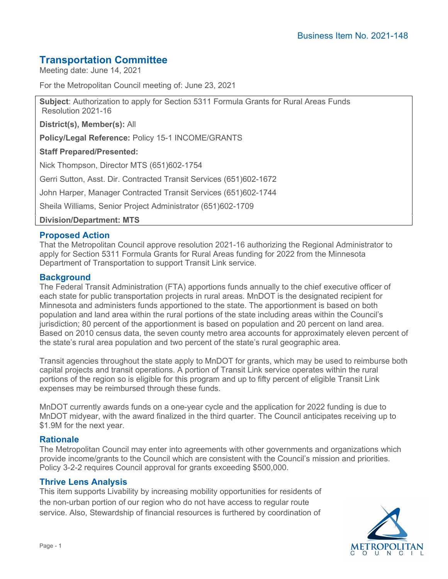# **Transportation Committee**

Meeting date: June 14, 2021

For the Metropolitan Council meeting of: June 23, 2021

**Subject**: Authorization to apply for Section 5311 Formula Grants for Rural Areas Funds Resolution 2021-16

**District(s), Member(s):** All

**Policy/Legal Reference:** Policy 15-1 INCOME/GRANTS

### **Staff Prepared/Presented:**

Nick Thompson, Director MTS (651)602-1754

Gerri Sutton, Asst. Dir. Contracted Transit Services (651)602-1672

John Harper, Manager Contracted Transit Services (651)602-1744

Sheila Williams, Senior Project Administrator (651)602-1709

**Division/Department: MTS**

## **Proposed Action**

That the Metropolitan Council approve resolution 2021-16 authorizing the Regional Administrator to apply for Section 5311 Formula Grants for Rural Areas funding for 2022 from the Minnesota Department of Transportation to support Transit Link service.

## **Background**

The Federal Transit Administration (FTA) apportions funds annually to the chief executive officer of each state for public transportation projects in rural areas. MnDOT is the designated recipient for Minnesota and administers funds apportioned to the state. The apportionment is based on both population and land area within the rural portions of the state including areas within the Council's jurisdiction; 80 percent of the apportionment is based on population and 20 percent on land area. Based on 2010 census data, the seven county metro area accounts for approximately eleven percent of the state's rural area population and two percent of the state's rural geographic area.

Transit agencies throughout the state apply to MnDOT for grants, which may be used to reimburse both capital projects and transit operations. A portion of Transit Link service operates within the rural portions of the region so is eligible for this program and up to fifty percent of eligible Transit Link expenses may be reimbursed through these funds.

MnDOT currently awards funds on a one-year cycle and the application for 2022 funding is due to MnDOT midyear, with the award finalized in the third quarter. The Council anticipates receiving up to \$1.9M for the next year.

## **Rationale**

The Metropolitan Council may enter into agreements with other governments and organizations which provide income/grants to the Council which are consistent with the Council's mission and priorities. Policy 3-2-2 requires Council approval for grants exceeding \$500,000.

## **Thrive Lens Analysis**

This item supports Livability by increasing mobility opportunities for residents of the non-urban portion of our region who do not have access to regular route service. Also, Stewardship of financial resources is furthered by coordination of

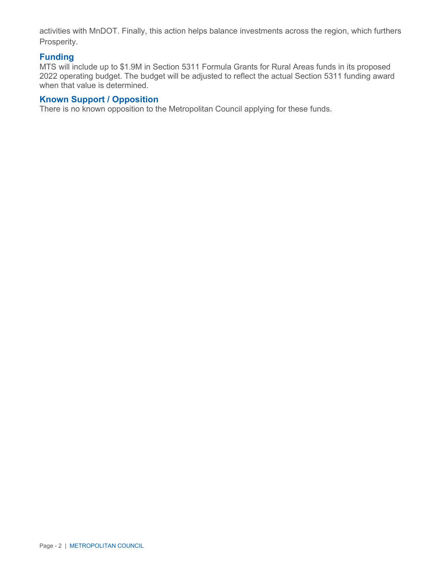activities with MnDOT. Finally, this action helps balance investments across the region, which furthers Prosperity.

## **Funding**

MTS will include up to \$1.9M in Section 5311 Formula Grants for Rural Areas funds in its proposed 2022 operating budget. The budget will be adjusted to reflect the actual Section 5311 funding award when that value is determined.

## **Known Support / Opposition**

There is no known opposition to the Metropolitan Council applying for these funds.